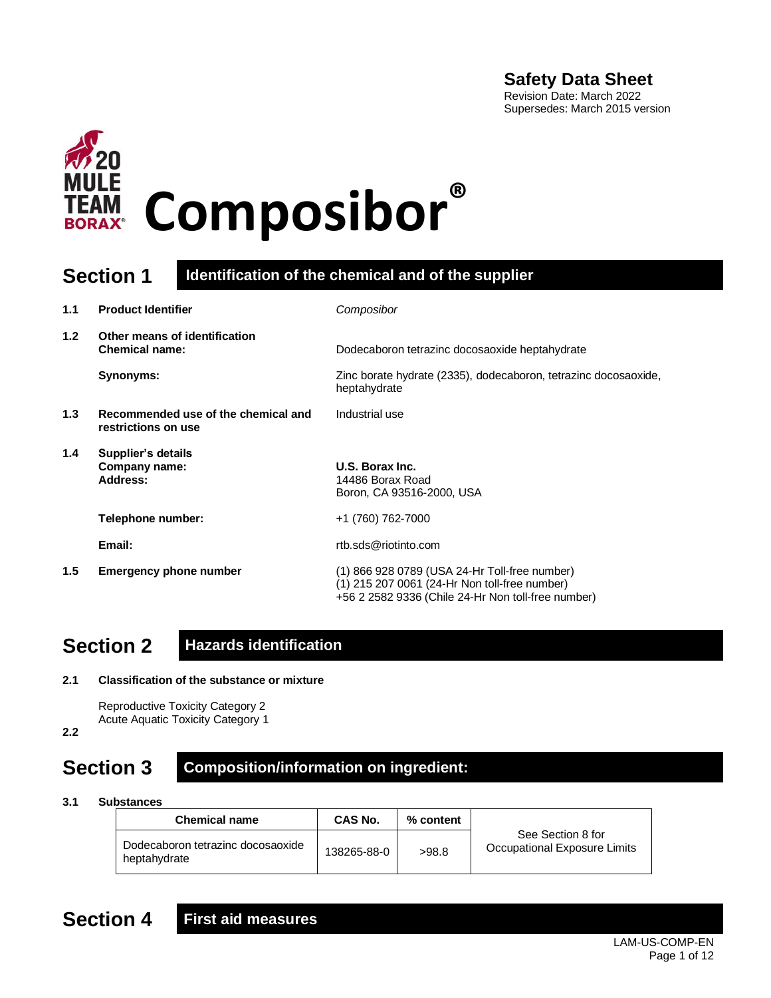### **Safety Data Sheet**

Revision Date: March 2022 Supersedes: March 2015 version



### **Section 1 Identification of the chemical and of the supplier**

| 1.1              | <b>Product Identifier</b>                                  | Composibor                                                                                                                                           |
|------------------|------------------------------------------------------------|------------------------------------------------------------------------------------------------------------------------------------------------------|
| 1.2 <sub>2</sub> | Other means of identification<br><b>Chemical name:</b>     | Dodecaboron tetrazinc docosaoxide heptahydrate                                                                                                       |
|                  | Synonyms:                                                  | Zinc borate hydrate (2335), dodecaboron, tetrazinc docosaoxide,<br>heptahydrate                                                                      |
| 1.3              | Recommended use of the chemical and<br>restrictions on use | Industrial use                                                                                                                                       |
| 1.4              | Supplier's details<br>Company name:<br><b>Address:</b>     | U.S. Borax Inc.<br>14486 Borax Road<br>Boron, CA 93516-2000, USA                                                                                     |
|                  | Telephone number:                                          | +1 (760) 762-7000                                                                                                                                    |
|                  | Email:                                                     | rtb.sds@riotinto.com                                                                                                                                 |
| 1.5              | <b>Emergency phone number</b>                              | (1) 866 928 0789 (USA 24-Hr Toll-free number)<br>(1) 215 207 0061 (24-Hr Non toll-free number)<br>+56 2 2582 9336 (Chile 24-Hr Non toll-free number) |

## **Section 2 Hazards identification**

**2.1 Classification of the substance or mixture**

```
Reproductive Toxicity Category 2
Acute Aquatic Toxicity Category 1
```
**2.2**

### **Section 3 Composition/information on ingredient:**

**3.1 Substances**

| <b>Chemical name</b>                              | CAS No.     | % content |                                                   |
|---------------------------------------------------|-------------|-----------|---------------------------------------------------|
| Dodecaboron tetrazinc docosaoxide<br>heptahydrate | 138265-88-0 | >98.8     | See Section 8 for<br>Occupational Exposure Limits |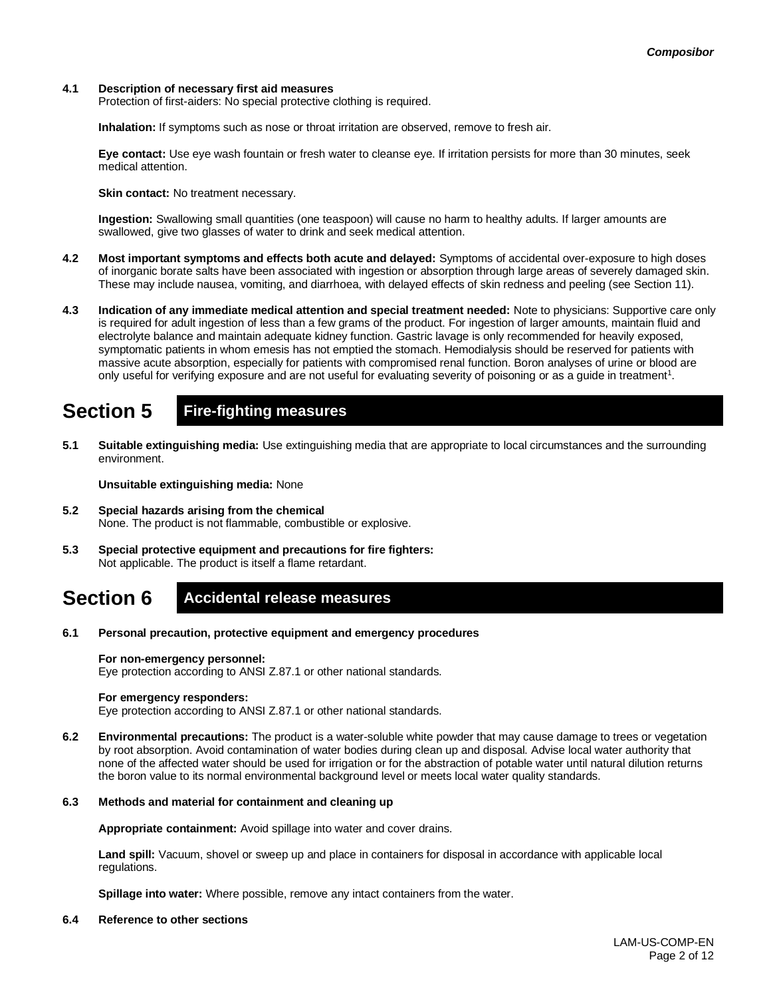#### **4.1 Description of necessary first aid measures**

Protection of first-aiders: No special protective clothing is required.

**Inhalation:** If symptoms such as nose or throat irritation are observed, remove to fresh air.

**Eye contact:** Use eye wash fountain or fresh water to cleanse eye. If irritation persists for more than 30 minutes, seek medical attention.

**Skin contact:** No treatment necessary.

**Ingestion:** Swallowing small quantities (one teaspoon) will cause no harm to healthy adults. If larger amounts are swallowed, give two glasses of water to drink and seek medical attention.

- **4.2 Most important symptoms and effects both acute and delayed:** Symptoms of accidental over-exposure to high doses of inorganic borate salts have been associated with ingestion or absorption through large areas of severely damaged skin. These may include nausea, vomiting, and diarrhoea, with delayed effects of skin redness and peeling (see Section 11).
- **4.3 Indication of any immediate medical attention and special treatment needed:** Note to physicians: Supportive care only is required for adult ingestion of less than a few grams of the product. For ingestion of larger amounts, maintain fluid and electrolyte balance and maintain adequate kidney function. Gastric lavage is only recommended for heavily exposed, symptomatic patients in whom emesis has not emptied the stomach. Hemodialysis should be reserved for patients with massive acute absorption, especially for patients with compromised renal function. Boron analyses of urine or blood are only useful for verifying exposure and are not useful for evaluating severity of poisoning or as a guide in treatment<sup>1</sup>.

## **Section 5 Fire-fighting measures**

**5.1 Suitable extinguishing media:** Use extinguishing media that are appropriate to local circumstances and the surrounding environment.

**Unsuitable extinguishing media:** None

- **5.2 Special hazards arising from the chemical** None. The product is not flammable, combustible or explosive.
- **5.3 Special protective equipment and precautions for fire fighters:**  Not applicable. The product is itself a flame retardant.

### **Section 6 Accidental release measures**

**6.1 Personal precaution, protective equipment and emergency procedures**

#### **For non-emergency personnel:**

Eye protection according to ANSI Z.87.1 or other national standards.

#### **For emergency responders:**

Eye protection according to ANSI Z.87.1 or other national standards.

**6.2 Environmental precautions:** The product is a water-soluble white powder that may cause damage to trees or vegetation by root absorption. Avoid contamination of water bodies during clean up and disposal. Advise local water authority that none of the affected water should be used for irrigation or for the abstraction of potable water until natural dilution returns the boron value to its normal environmental background level or meets local water quality standards.

#### **6.3 Methods and material for containment and cleaning up**

**Appropriate containment:** Avoid spillage into water and cover drains.

**Land spill:** Vacuum, shovel or sweep up and place in containers for disposal in accordance with applicable local regulations.

**Spillage into water:** Where possible, remove any intact containers from the water.

**6.4 Reference to other sections**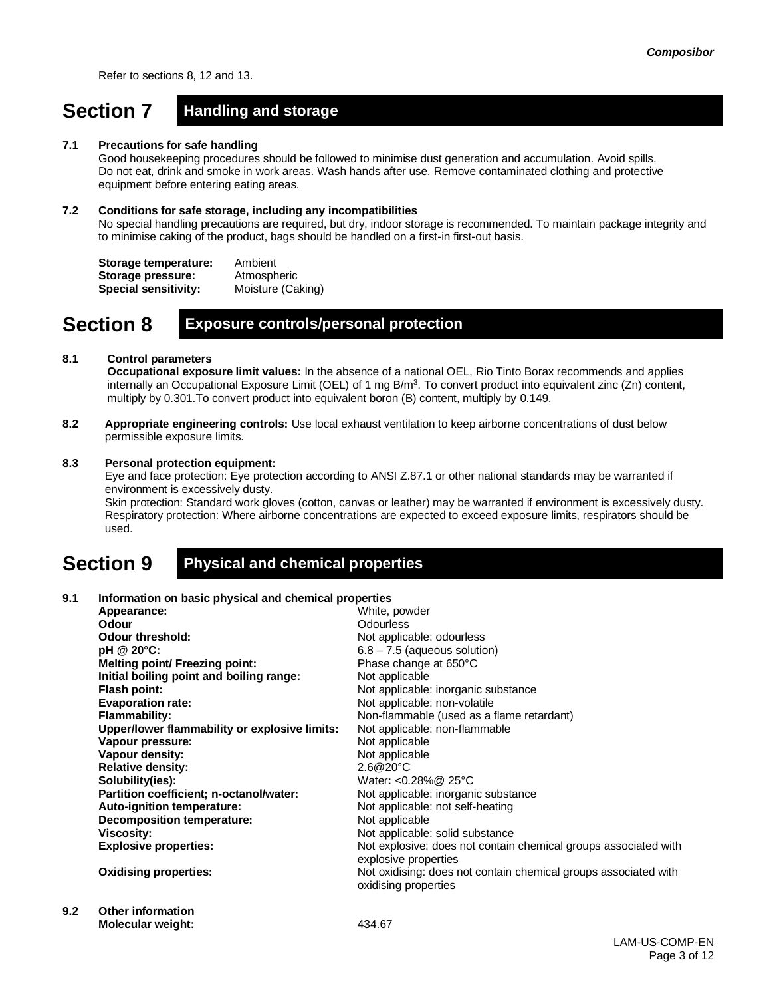Refer to sections 8, 12 and 13.

## **Section 7 Handling and storage**

#### **7.1 Precautions for safe handling**

Good housekeeping procedures should be followed to minimise dust generation and accumulation. Avoid spills. Do not eat, drink and smoke in work areas. Wash hands after use. Remove contaminated clothing and protective equipment before entering eating areas.

#### **7.2 Conditions for safe storage, including any incompatibilities**

No special handling precautions are required, but dry, indoor storage is recommended. To maintain package integrity and to minimise caking of the product, bags should be handled on a first-in first-out basis.

**Storage temperature:** Ambient **Storage pressure:** Atmospheric **Special sensitivity:** Moisture (Caking)

### **Section 8 Exposure controls/personal protection**

#### **8.1 Control parameters**

**Occupational exposure limit values:** In the absence of a national OEL, Rio Tinto Borax recommends and applies internally an Occupational Exposure Limit (OEL) of 1 mg B/m<sup>3</sup>. To convert product into equivalent zinc (Zn) content, multiply by 0.301.To convert product into equivalent boron (B) content, multiply by 0.149.

**8.2 Appropriate engineering controls:** Use local exhaust ventilation to keep airborne concentrations of dust below permissible exposure limits.

#### **8.3 Personal protection equipment:**

Eye and face protection: Eye protection according to ANSI Z.87.1 or other national standards may be warranted if environment is excessively dusty.

Skin protection: Standard work gloves (cotton, canvas or leather) may be warranted if environment is excessively dusty. Respiratory protection: Where airborne concentrations are expected to exceed exposure limits, respirators should be used.

### **Section 9 Physical and chemical properties**

#### **9.1 Information on basic physical and chemical properties**

| Appearance:                                   | White, powder                                                   |
|-----------------------------------------------|-----------------------------------------------------------------|
| Odour                                         | Odourless                                                       |
| <b>Odour threshold:</b>                       | Not applicable: odourless                                       |
| pH @ 20°C:                                    | $6.8 - 7.5$ (aqueous solution)                                  |
| <b>Melting point/ Freezing point:</b>         | Phase change at 650°C                                           |
| Initial boiling point and boiling range:      | Not applicable                                                  |
| Flash point:                                  | Not applicable: inorganic substance                             |
| <b>Evaporation rate:</b>                      | Not applicable: non-volatile                                    |
| <b>Flammability:</b>                          | Non-flammable (used as a flame retardant)                       |
| Upper/lower flammability or explosive limits: | Not applicable: non-flammable                                   |
| Vapour pressure:                              | Not applicable                                                  |
| Vapour density:                               | Not applicable                                                  |
| <b>Relative density:</b>                      | 2.6@20°C                                                        |
| Solubility(ies):                              | Water: < $0.28\%$ @ 25°C                                        |
| Partition coefficient; n-octanol/water:       | Not applicable: inorganic substance                             |
| Auto-ignition temperature:                    | Not applicable: not self-heating                                |
| <b>Decomposition temperature:</b>             | Not applicable                                                  |
| Viscosity:                                    | Not applicable: solid substance                                 |
| <b>Explosive properties:</b>                  | Not explosive: does not contain chemical groups associated with |
|                                               | explosive properties                                            |
| <b>Oxidising properties:</b>                  | Not oxidising: does not contain chemical groups associated with |
|                                               | oxidising properties                                            |
|                                               |                                                                 |

**9.2 Other information Molecular weight:** 434.67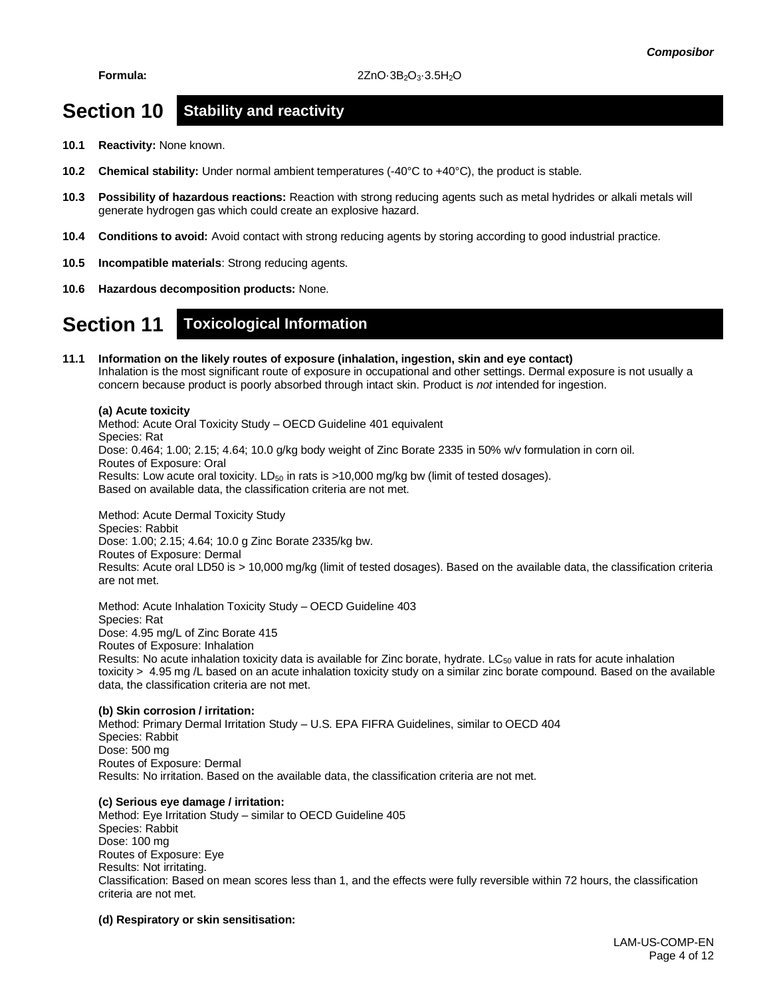### **Section 10 Stability and reactivity**

- **10.1 Reactivity:** None known.
- **10.2 Chemical stability:** Under normal ambient temperatures (-40°C to +40°C), the product is stable.
- **10.3 Possibility of hazardous reactions:** Reaction with strong reducing agents such as metal hydrides or alkali metals will generate hydrogen gas which could create an explosive hazard.
- **10.4 Conditions to avoid:** Avoid contact with strong reducing agents by storing according to good industrial practice.
- **10.5 Incompatible materials**: Strong reducing agents.
- **10.6 Hazardous decomposition products:** None.

### **Section 11 Toxicological Information**

#### **11.1 Information on the likely routes of exposure (inhalation, ingestion, skin and eye contact)** Inhalation is the most significant route of exposure in occupational and other settings. Dermal exposure is not usually a concern because product is poorly absorbed through intact skin. Product is *not* intended for ingestion.

#### **(a) Acute toxicity**

Method: Acute Oral Toxicity Study – OECD Guideline 401 equivalent Species: Rat Dose: 0.464; 1.00; 2.15; 4.64; 10.0 g/kg body weight of Zinc Borate 2335 in 50% w/v formulation in corn oil. Routes of Exposure: Oral Results: Low acute oral toxicity.  $LD_{50}$  in rats is  $>10,000$  mg/kg bw (limit of tested dosages). Based on available data, the classification criteria are not met.

Method: Acute Dermal Toxicity Study Species: Rabbit Dose: 1.00; 2.15; 4.64; 10.0 g Zinc Borate 2335/kg bw. Routes of Exposure: Dermal Results: Acute oral LD50 is > 10,000 mg/kg (limit of tested dosages). Based on the available data, the classification criteria are not met.

Method: Acute Inhalation Toxicity Study – OECD Guideline 403 Species: Rat Dose: 4.95 mg/L of Zinc Borate 415 Routes of Exposure: Inhalation Results: No acute inhalation toxicity data is available for Zinc borate, hydrate.  $LC_{50}$  value in rats for acute inhalation toxicity > 4.95 mg /L based on an acute inhalation toxicity study on a similar zinc borate compound. Based on the available data, the classification criteria are not met.

#### **(b) Skin corrosion / irritation:** Method: Primary Dermal Irritation Study – U.S. EPA FIFRA Guidelines, similar to OECD 404 Species: Rabbit Dose: 500 mg Routes of Exposure: Dermal Results: No irritation. Based on the available data, the classification criteria are not met.

#### **(c) Serious eye damage / irritation:**

Method: Eye Irritation Study – similar to OECD Guideline 405 Species: Rabbit Dose: 100 mg Routes of Exposure: Eye Results: Not irritating. Classification: Based on mean scores less than 1, and the effects were fully reversible within 72 hours, the classification criteria are not met.

#### **(d) Respiratory or skin sensitisation:**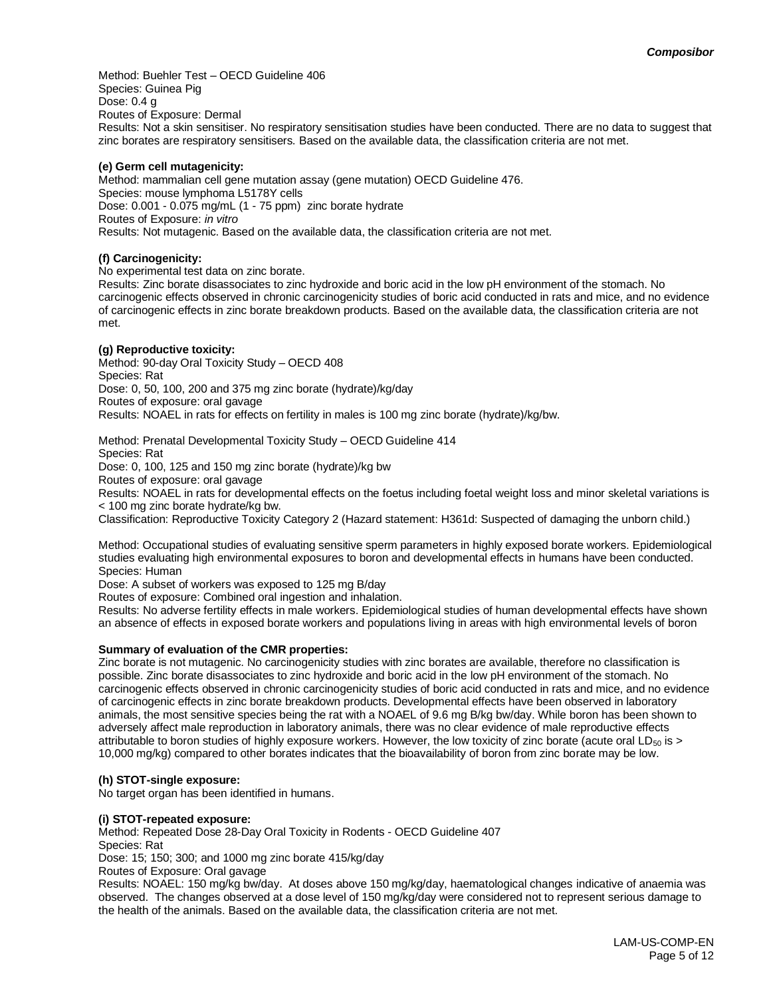Method: Buehler Test – OECD Guideline 406 Species: Guinea Pig Dose: 0.4 g Routes of Exposure: Dermal Results: Not a skin sensitiser. No respiratory sensitisation studies have been conducted. There are no data to suggest that zinc borates are respiratory sensitisers. Based on the available data, the classification criteria are not met.

#### **(e) Germ cell mutagenicity:**

Method: mammalian cell gene mutation assay (gene mutation) OECD Guideline 476. Species: mouse lymphoma L5178Y cells Dose: 0.001 - 0.075 mg/mL (1 - 75 ppm) zinc borate hydrate Routes of Exposure: *in vitro* Results: Not mutagenic. Based on the available data, the classification criteria are not met.

#### **(f) Carcinogenicity:**

No experimental test data on zinc borate.

Results: Zinc borate disassociates to zinc hydroxide and boric acid in the low pH environment of the stomach. No carcinogenic effects observed in chronic carcinogenicity studies of boric acid conducted in rats and mice, and no evidence of carcinogenic effects in zinc borate breakdown products. Based on the available data, the classification criteria are not met.

#### **(g) Reproductive toxicity:**

Method: 90-day Oral Toxicity Study – OECD 408 Species: Rat Dose: 0, 50, 100, 200 and 375 mg zinc borate (hydrate)/kg/day Routes of exposure: oral gavage Results: NOAEL in rats for effects on fertility in males is 100 mg zinc borate (hydrate)/kg/bw.

Method: Prenatal Developmental Toxicity Study – OECD Guideline 414 Species: Rat Dose: 0, 100, 125 and 150 mg zinc borate (hydrate)/kg bw Routes of exposure: oral gavage Results: NOAEL in rats for developmental effects on the foetus including foetal weight loss and minor skeletal variations is < 100 mg zinc borate hydrate/kg bw.

Classification: Reproductive Toxicity Category 2 (Hazard statement: H361d: Suspected of damaging the unborn child.)

Method: Occupational studies of evaluating sensitive sperm parameters in highly exposed borate workers. Epidemiological studies evaluating high environmental exposures to boron and developmental effects in humans have been conducted. Species: Human

Dose: A subset of workers was exposed to 125 mg B/day

Routes of exposure: Combined oral ingestion and inhalation.

Results: No adverse fertility effects in male workers. Epidemiological studies of human developmental effects have shown an absence of effects in exposed borate workers and populations living in areas with high environmental levels of boron

#### **Summary of evaluation of the CMR properties:**

Zinc borate is not mutagenic. No carcinogenicity studies with zinc borates are available, therefore no classification is possible. Zinc borate disassociates to zinc hydroxide and boric acid in the low pH environment of the stomach. No carcinogenic effects observed in chronic carcinogenicity studies of boric acid conducted in rats and mice, and no evidence of carcinogenic effects in zinc borate breakdown products. Developmental effects have been observed in laboratory animals, the most sensitive species being the rat with a NOAEL of 9.6 mg B/kg bw/day. While boron has been shown to adversely affect male reproduction in laboratory animals, there was no clear evidence of male reproductive effects attributable to boron studies of highly exposure workers. However, the low toxicity of zinc borate (acute oral  $LD_{50}$  is > 10,000 mg/kg) compared to other borates indicates that the bioavailability of boron from zinc borate may be low.

#### **(h) STOT-single exposure:**

No target organ has been identified in humans.

#### **(i) STOT-repeated exposure:**

Method: Repeated Dose 28-Day Oral Toxicity in Rodents - OECD Guideline 407 Species: Rat

Dose: 15; 150; 300; and 1000 mg zinc borate 415/kg/day

Routes of Exposure: Oral gavage

Results: NOAEL: 150 mg/kg bw/day. At doses above 150 mg/kg/day, haematological changes indicative of anaemia was observed. The changes observed at a dose level of 150 mg/kg/day were considered not to represent serious damage to the health of the animals. Based on the available data, the classification criteria are not met.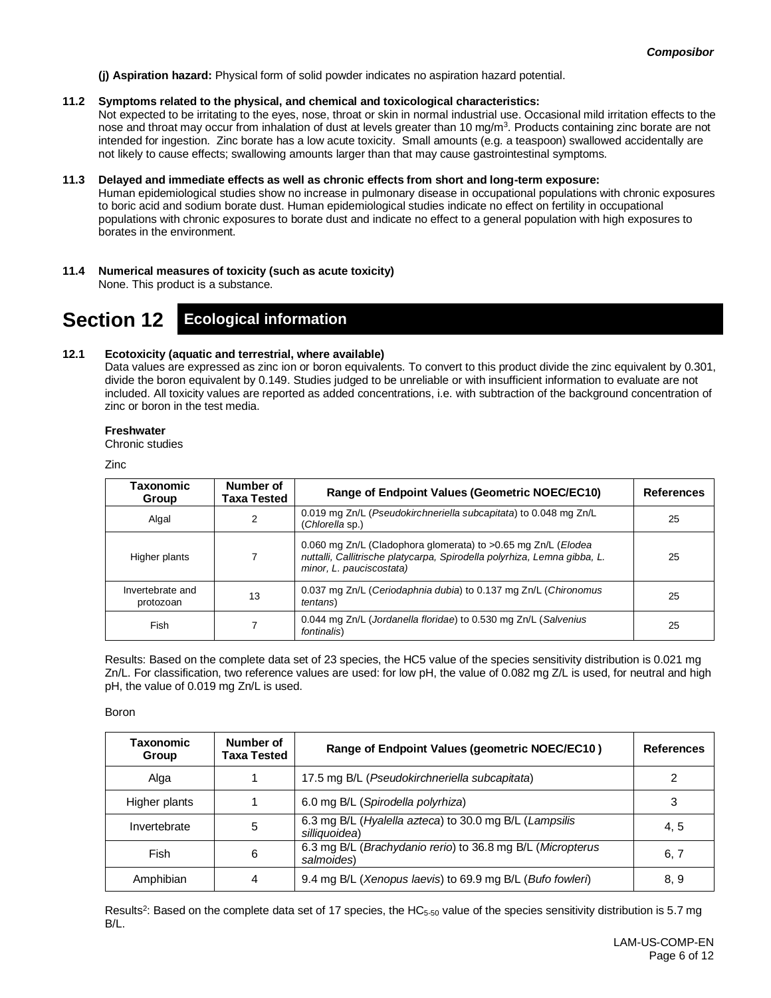**(j) Aspiration hazard:** Physical form of solid powder indicates no aspiration hazard potential.

#### **11.2 Symptoms related to the physical, and chemical and toxicological characteristics:**

Not expected to be irritating to the eyes, nose, throat or skin in normal industrial use. Occasional mild irritation effects to the nose and throat may occur from inhalation of dust at levels greater than 10 mg/m<sup>3</sup>. Products containing zinc borate are not intended for ingestion. Zinc borate has a low acute toxicity. Small amounts (e.g. a teaspoon) swallowed accidentally are not likely to cause effects; swallowing amounts larger than that may cause gastrointestinal symptoms.

#### **11.3 Delayed and immediate effects as well as chronic effects from short and long-term exposure:**

Human epidemiological studies show no increase in pulmonary disease in occupational populations with chronic exposures to boric acid and sodium borate dust. Human epidemiological studies indicate no effect on fertility in occupational populations with chronic exposures to borate dust and indicate no effect to a general population with high exposures to borates in the environment.

**11.4 Numerical measures of toxicity (such as acute toxicity)** None. This product is a substance.

### **Section 12 Ecological information**

#### **12.1 Ecotoxicity (aquatic and terrestrial, where available)**

Data values are expressed as zinc ion or boron equivalents. To convert to this product divide the zinc equivalent by 0.301, divide the boron equivalent by 0.149. Studies judged to be unreliable or with insufficient information to evaluate are not included. All toxicity values are reported as added concentrations, i.e. with subtraction of the background concentration of zinc or boron in the test media.

#### **Freshwater**

Chronic studies

Zinc

| Taxonomic<br>Group            | Number of<br>Taxa Tested | <b>Range of Endpoint Values (Geometric NOEC/EC10)</b>                                                                                                                 | <b>References</b> |
|-------------------------------|--------------------------|-----------------------------------------------------------------------------------------------------------------------------------------------------------------------|-------------------|
| Algal                         | 2                        | 0.019 mg Zn/L (Pseudokirchneriella subcapitata) to 0.048 mg Zn/L<br>(Chlorella sp.)                                                                                   | 25                |
| Higher plants                 |                          | 0.060 mg Zn/L (Cladophora glomerata) to >0.65 mg Zn/L (Elodea<br>nuttalli, Callitrische platycarpa, Spirodella polyrhiza, Lemna gibba, L.<br>minor, L. pauciscostata) | 25                |
| Invertebrate and<br>protozoan | 13                       | 0.037 mg Zn/L (Ceriodaphnia dubia) to 0.137 mg Zn/L (Chironomus<br><i>tentans</i> )                                                                                   | 25                |
| Fish                          |                          | 0.044 mg Zn/L (Jordanella floridae) to 0.530 mg Zn/L (Salvenius<br>fontinalis)                                                                                        | 25                |

Results: Based on the complete data set of 23 species, the HC5 value of the species sensitivity distribution is 0.021 mg Zn/L. For classification, two reference values are used: for low pH, the value of 0.082 mg Z/L is used, for neutral and high pH, the value of 0.019 mg Zn/L is used.

Boron

| Taxonomic<br>Group | Number of<br>Taxa Tested | Range of Endpoint Values (geometric NOEC/EC10)                           | <b>References</b> |
|--------------------|--------------------------|--------------------------------------------------------------------------|-------------------|
| Alga               |                          | 17.5 mg B/L (Pseudokirchneriella subcapitata)                            |                   |
| Higher plants      |                          | 6.0 mg B/L (Spirodella polyrhiza)                                        | 3                 |
| Invertebrate       | 5                        | 6.3 mg B/L (Hyalella azteca) to 30.0 mg B/L (Lampsilis<br>silliauoidea)  | 4, 5              |
| Fish               | 6                        | 6.3 mg B/L (Brachydanio rerio) to 36.8 mg B/L (Micropterus<br>salmoides) | 6, 7              |
| Amphibian          | 4                        | 9.4 mg B/L (Xenopus laevis) to 69.9 mg B/L (Bufo fowleri)                | 8,9               |

Results<sup>2</sup>: Based on the complete data set of 17 species, the HC<sub>5-50</sub> value of the species sensitivity distribution is 5.7 mg B/L.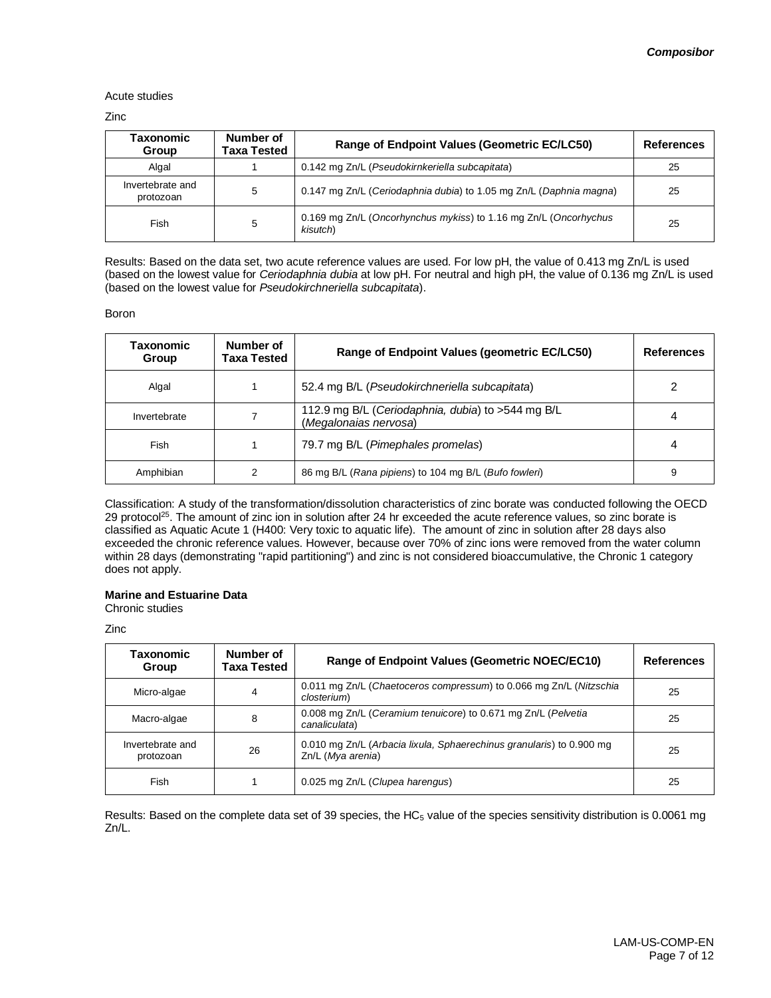#### Acute studies

Zinc

| Taxonomic<br>Group            | Number of<br>Taxa Tested | Range of Endpoint Values (Geometric EC/LC50)                                 | <b>References</b> |
|-------------------------------|--------------------------|------------------------------------------------------------------------------|-------------------|
| Algal                         |                          | 0.142 mg Zn/L (Pseudokirnkeriella subcapitata)                               | 25                |
| Invertebrate and<br>protozoan | 5                        | 0.147 mg Zn/L (Ceriodaphnia dubia) to 1.05 mg Zn/L (Daphnia magna)           | 25                |
| Fish                          | 5                        | 0.169 mg Zn/L (Oncorhynchus mykiss) to 1.16 mg Zn/L (Oncorhychus<br>kisutch) | 25                |

Results: Based on the data set, two acute reference values are used. For low pH, the value of 0.413 mg Zn/L is used (based on the lowest value for *Ceriodaphnia dubia* at low pH. For neutral and high pH, the value of 0.136 mg Zn/L is used (based on the lowest value for *Pseudokirchneriella subcapitata*).

#### Boron

| Taxonomic<br>Group | Number of<br>Taxa Tested | Range of Endpoint Values (geometric EC/LC50)                               | <b>References</b> |
|--------------------|--------------------------|----------------------------------------------------------------------------|-------------------|
| Algal              |                          | 52.4 mg B/L (Pseudokirchneriella subcapitata)                              | າ                 |
| Invertebrate       |                          | 112.9 mg B/L (Ceriodaphnia, dubia) to >544 mg B/L<br>(Megalonaias nervosa) | 4                 |
| Fish               |                          | 79.7 mg B/L (Pimephales promelas)                                          |                   |
| Amphibian          | 2                        | 86 mg B/L (Rana pipiens) to 104 mg B/L (Bufo fowleri)                      | 9                 |

Classification: A study of the transformation/dissolution characteristics of zinc borate was conducted following the OECD 29 protocol<sup>25</sup>. The amount of zinc ion in solution after 24 hr exceeded the acute reference values, so zinc borate is classified as Aquatic Acute 1 (H400: Very toxic to aquatic life). The amount of zinc in solution after 28 days also exceeded the chronic reference values. However, because over 70% of zinc ions were removed from the water column within 28 days (demonstrating "rapid partitioning") and zinc is not considered bioaccumulative, the Chronic 1 category does not apply.

#### **Marine and Estuarine Data**

Chronic studies

Zinc

| Taxonomic<br>Group            | Number of<br>Taxa Tested | Range of Endpoint Values (Geometric NOEC/EC10)                                            | <b>References</b> |
|-------------------------------|--------------------------|-------------------------------------------------------------------------------------------|-------------------|
| Micro-algae                   | 4                        | 0.011 mg Zn/L (Chaetoceros compressum) to 0.066 mg Zn/L (Nitzschia<br>closterium)         | 25                |
| Macro-algae                   | 8                        | 0.008 mg Zn/L (Ceramium tenuicore) to 0.671 mg Zn/L (Pelvetia<br>canaliculata)            | 25                |
| Invertebrate and<br>protozoan | 26                       | 0.010 mg Zn/L (Arbacia lixula, Sphaerechinus granularis) to 0.900 mg<br>Zn/L (Mya arenia) | 25                |
| Fish                          |                          | 0.025 mg Zn/L (Clupea harengus)                                                           | 25                |

Results: Based on the complete data set of 39 species, the HC $_5$  value of the species sensitivity distribution is 0.0061 mg Zn/L.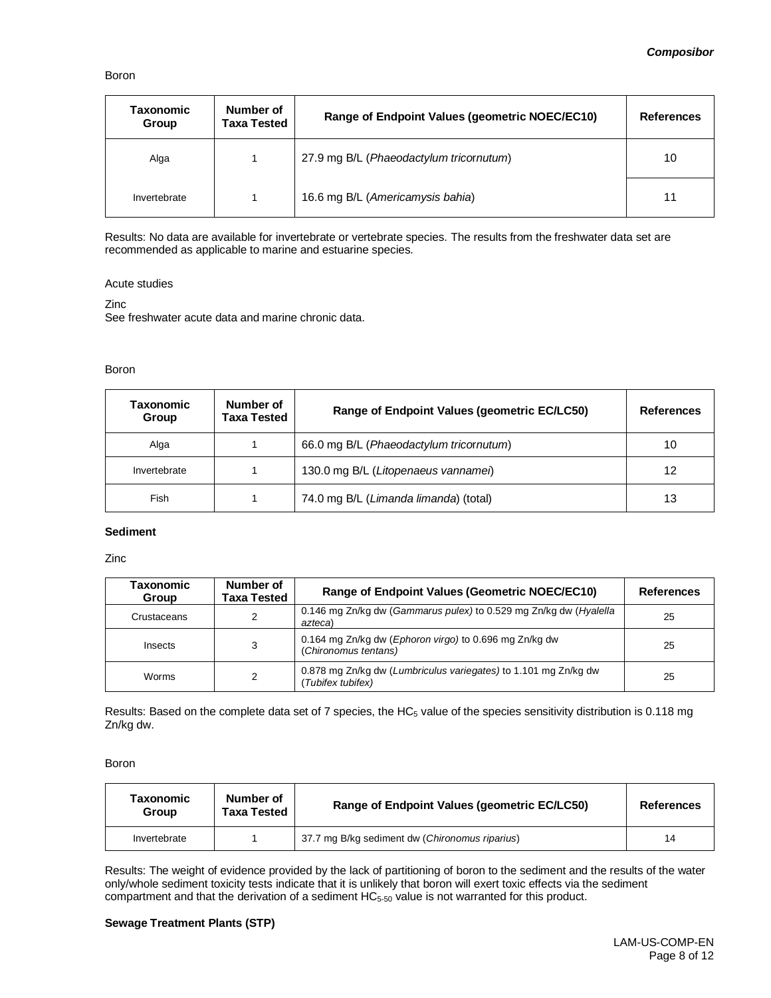#### Boron

| <b>Taxonomic</b><br>Group | Number of<br><b>Taxa Tested</b> | Range of Endpoint Values (geometric NOEC/EC10) | <b>References</b> |
|---------------------------|---------------------------------|------------------------------------------------|-------------------|
| Alga                      |                                 | 27.9 mg B/L (Phaeodactylum tricornutum)        | 10                |
| Invertebrate              |                                 | 16.6 mg B/L (Americamysis bahia)               | 11                |

Results: No data are available for invertebrate or vertebrate species. The results from the freshwater data set are recommended as applicable to marine and estuarine species.

#### Acute studies

Zinc

See freshwater acute data and marine chronic data.

#### Boron

| Taxonomic<br>Group | Number of<br>Taxa Tested | Range of Endpoint Values (geometric EC/LC50) | <b>References</b> |
|--------------------|--------------------------|----------------------------------------------|-------------------|
| Alga               |                          | 66.0 mg B/L (Phaeodactylum tricornutum)      | 10                |
| Invertebrate       |                          | 130.0 mg B/L (Litopenaeus vannamei)          | 12                |
| Fish               |                          | 74.0 mg B/L (Limanda limanda) (total)        | 13                |

#### **Sediment**

Zinc

| Taxonomic<br>Group | Number of<br>Taxa Tested | Range of Endpoint Values (Geometric NOEC/EC10)                                      | <b>References</b> |
|--------------------|--------------------------|-------------------------------------------------------------------------------------|-------------------|
| Crustaceans        | 2                        | 0.146 mg Zn/kg dw (Gammarus pulex) to 0.529 mg Zn/kg dw (Hyalella<br>azteca)        | 25                |
| Insects            | 3                        | 0.164 mg Zn/kg dw (Ephoron virgo) to 0.696 mg Zn/kg dw<br>(Chironomus tentans)      | 25                |
| Worms              | 2                        | 0.878 mg Zn/kg dw (Lumbriculus variegates) to 1.101 mg Zn/kg dw<br>Tubifex tubifex) | 25                |

Results: Based on the complete data set of 7 species, the HC $_5$  value of the species sensitivity distribution is 0.118 mg Zn/kg dw.

Boron

| Taxonomic<br>Group | Number of<br><b>Taxa Tested</b> | Range of Endpoint Values (geometric EC/LC50)   | <b>References</b> |
|--------------------|---------------------------------|------------------------------------------------|-------------------|
| Invertebrate       |                                 | 37.7 mg B/kg sediment dw (Chironomus riparius) | 14                |

Results: The weight of evidence provided by the lack of partitioning of boron to the sediment and the results of the water only/whole sediment toxicity tests indicate that it is unlikely that boron will exert toxic effects via the sediment compartment and that the derivation of a sediment HC<sub>5-50</sub> value is not warranted for this product.

#### **Sewage Treatment Plants (STP)**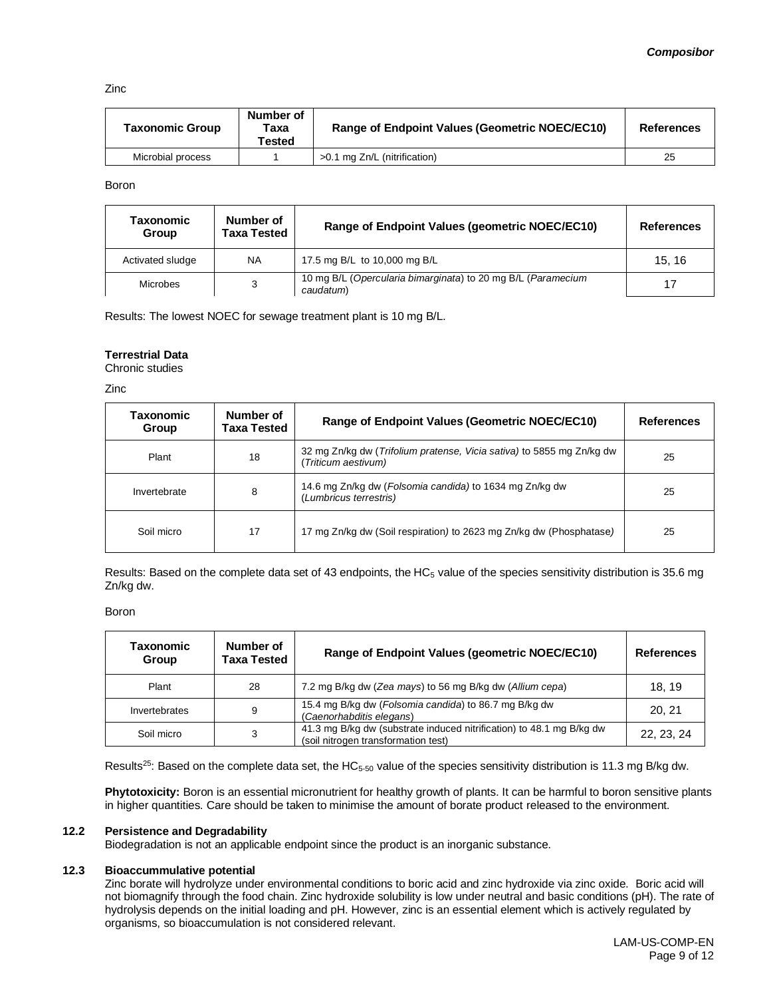Zinc

| Taxonomic Group   | Number of<br>Taxa<br>Tested | Range of Endpoint Values (Geometric NOEC/EC10) | <b>References</b> |
|-------------------|-----------------------------|------------------------------------------------|-------------------|
| Microbial process |                             | >0.1 mg Zn/L (nitrification)                   | 25                |

Boron

| Taxonomic<br>Group | Number of<br>Taxa Tested | Range of Endpoint Values (geometric NOEC/EC10)                            | <b>References</b> |
|--------------------|--------------------------|---------------------------------------------------------------------------|-------------------|
| Activated sludge   | <b>NA</b>                | 17.5 mg B/L to 10,000 mg B/L                                              | 15.16             |
| Microbes           | 3                        | 10 mg B/L (Opercularia bimarginata) to 20 mg B/L (Paramecium<br>caudatum) |                   |

Results: The lowest NOEC for sewage treatment plant is 10 mg B/L.

#### **Terrestrial Data**

Chronic studies

Zinc

| Taxonomic<br>Group | Number of<br>Taxa Tested | Range of Endpoint Values (Geometric NOEC/EC10)                                               | <b>References</b> |
|--------------------|--------------------------|----------------------------------------------------------------------------------------------|-------------------|
| Plant              | 18                       | 32 mg Zn/kg dw (Trifolium pratense, Vicia sativa) to 5855 mg Zn/kg dw<br>(Triticum aestivum) | 25                |
| Invertebrate       | 8                        | 14.6 mg Zn/kg dw (Folsomia candida) to 1634 mg Zn/kg dw<br>(Lumbricus terrestris)            | 25                |
| Soil micro         | 17                       | 17 mg Zn/kg dw (Soil respiration) to 2623 mg Zn/kg dw (Phosphatase)                          | 25                |

Results: Based on the complete data set of 43 endpoints, the  $HC_5$  value of the species sensitivity distribution is 35.6 mg Zn/kg dw.

Boron

| Taxonomic<br>Group | Number of<br><b>Taxa Tested</b> | Range of Endpoint Values (geometric NOEC/EC10)                                                              | <b>References</b> |
|--------------------|---------------------------------|-------------------------------------------------------------------------------------------------------------|-------------------|
| Plant              | 28                              | 7.2 mg B/kg dw (Zea mays) to 56 mg B/kg dw (Allium cepa)                                                    | 18.19             |
| Invertebrates      | 9                               | 15.4 mg B/kg dw (Folsomia candida) to 86.7 mg B/kg dw<br>(Caenorhabditis elegans)                           | 20, 21            |
| Soil micro         | 3                               | 41.3 mg B/kg dw (substrate induced nitrification) to 48.1 mg B/kg dw<br>(soil nitrogen transformation test) | 22, 23, 24        |

Results<sup>25</sup>: Based on the complete data set, the HC $_{5-50}$  value of the species sensitivity distribution is 11.3 mg B/kg dw.

**Phytotoxicity:** Boron is an essential micronutrient for healthy growth of plants. It can be harmful to boron sensitive plants in higher quantities. Care should be taken to minimise the amount of borate product released to the environment.

#### **12.2 Persistence and Degradability**

Biodegradation is not an applicable endpoint since the product is an inorganic substance.

#### **12.3 Bioaccummulative potential**

Zinc borate will hydrolyze under environmental conditions to boric acid and zinc hydroxide via zinc oxide. Boric acid will not biomagnify through the food chain. Zinc hydroxide solubility is low under neutral and basic conditions (pH). The rate of hydrolysis depends on the initial loading and pH. However, zinc is an essential element which is actively regulated by organisms, so bioaccumulation is not considered relevant.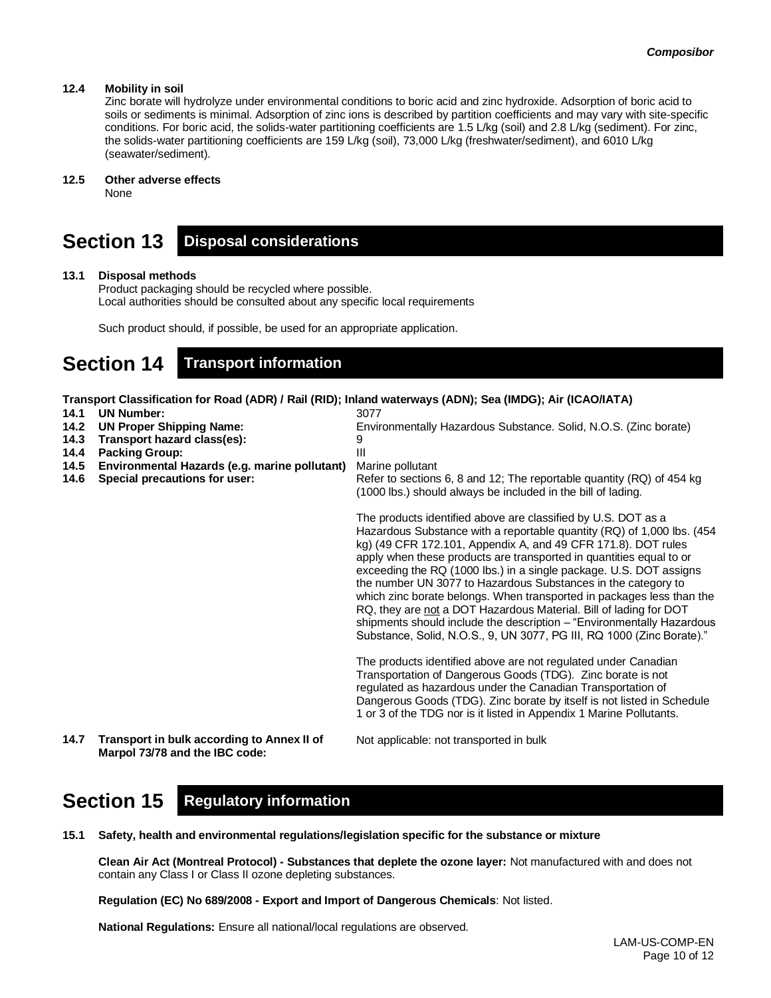#### **12.4 Mobility in soil**

Zinc borate will hydrolyze under environmental conditions to boric acid and zinc hydroxide. Adsorption of boric acid to soils or sediments is minimal. Adsorption of zinc ions is described by partition coefficients and may vary with site-specific conditions. For boric acid, the solids-water partitioning coefficients are 1.5 L/kg (soil) and 2.8 L/kg (sediment). For zinc, the solids-water partitioning coefficients are 159 L/kg (soil), 73,000 L/kg (freshwater/sediment), and 6010 L/kg (seawater/sediment).

#### **12.5 Other adverse effects**

None

### **Section 13 Disposal considerations**

#### **13.1 Disposal methods**

Product packaging should be recycled where possible. Local authorities should be consulted about any specific local requirements

Such product should, if possible, be used for an appropriate application.

## **Section 14 Transport information**

**Transport Classification for Road (ADR) / Rail (RID); Inland waterways (ADN); Sea (IMDG); Air (ICAO/IATA)**

| 14.1<br>14.2<br>14.3<br>14.4<br>14.5<br>14.6 | <b>UN Number:</b><br><b>UN Proper Shipping Name:</b><br>Transport hazard class(es):<br><b>Packing Group:</b><br>Environmental Hazards (e.g. marine pollutant)<br>Special precautions for user: | 3077<br>Environmentally Hazardous Substance. Solid, N.O.S. (Zinc borate)<br>9<br>Ш<br>Marine pollutant<br>Refer to sections 6, 8 and 12; The reportable quantity (RQ) of 454 kg<br>(1000 lbs.) should always be included in the bill of lading.                                                                                                                                                                                                                                                                                                                                                                                                                                                                         |  |
|----------------------------------------------|------------------------------------------------------------------------------------------------------------------------------------------------------------------------------------------------|-------------------------------------------------------------------------------------------------------------------------------------------------------------------------------------------------------------------------------------------------------------------------------------------------------------------------------------------------------------------------------------------------------------------------------------------------------------------------------------------------------------------------------------------------------------------------------------------------------------------------------------------------------------------------------------------------------------------------|--|
|                                              |                                                                                                                                                                                                | The products identified above are classified by U.S. DOT as a<br>Hazardous Substance with a reportable quantity (RQ) of 1,000 lbs. (454<br>kg) (49 CFR 172.101, Appendix A, and 49 CFR 171.8). DOT rules<br>apply when these products are transported in quantities equal to or<br>exceeding the RQ (1000 lbs.) in a single package. U.S. DOT assigns<br>the number UN 3077 to Hazardous Substances in the category to<br>which zinc borate belongs. When transported in packages less than the<br>RQ, they are not a DOT Hazardous Material. Bill of lading for DOT<br>shipments should include the description - "Environmentally Hazardous"<br>Substance, Solid, N.O.S., 9, UN 3077, PG III, RQ 1000 (Zinc Borate)." |  |
|                                              |                                                                                                                                                                                                | The products identified above are not regulated under Canadian<br>Transportation of Dangerous Goods (TDG). Zinc borate is not<br>regulated as hazardous under the Canadian Transportation of<br>Dangerous Goods (TDG). Zinc borate by itself is not listed in Schedule<br>1 or 3 of the TDG nor is it listed in Appendix 1 Marine Pollutants.                                                                                                                                                                                                                                                                                                                                                                           |  |
| 14.7                                         | Transport in bulk according to Annex II of                                                                                                                                                     | Not applicable: not transported in bulk                                                                                                                                                                                                                                                                                                                                                                                                                                                                                                                                                                                                                                                                                 |  |

**Marpol 73/78 and the IBC code:**

## **Section 15 Regulatory information**

**15.1 Safety, health and environmental regulations/legislation specific for the substance or mixture**

**Clean Air Act (Montreal Protocol) - Substances that deplete the ozone layer:** Not manufactured with and does not contain any Class I or Class II ozone depleting substances.

**Regulation (EC) No 689/2008 - Export and Import of Dangerous Chemicals**: Not listed.

**National Regulations:** Ensure all national/local regulations are observed.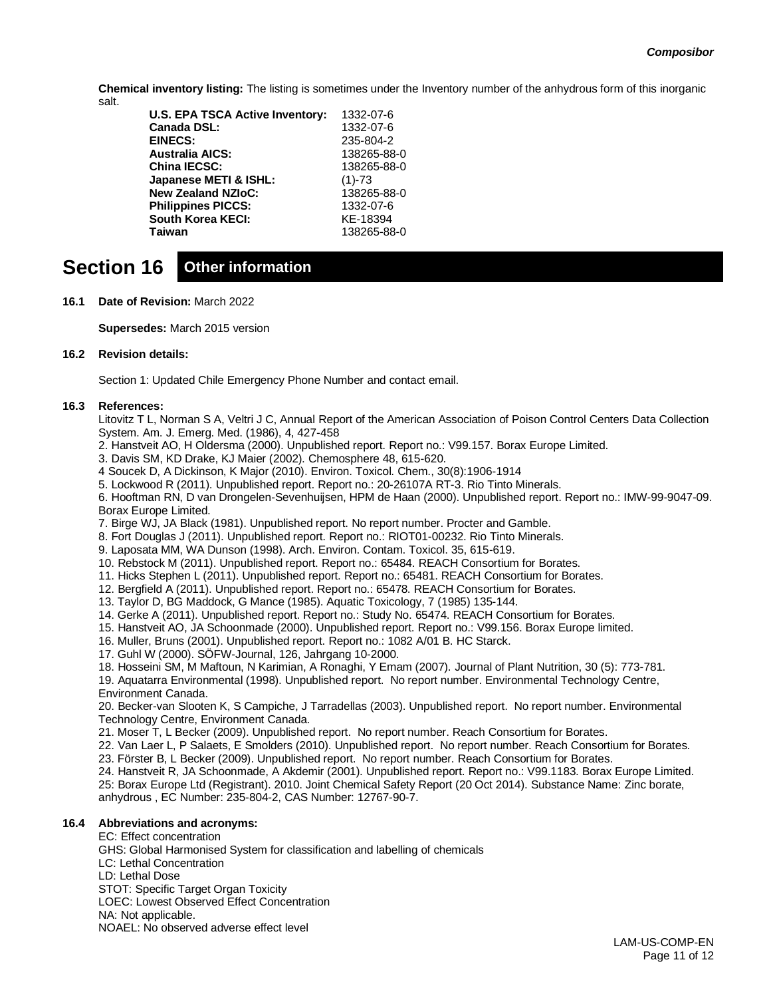**Chemical inventory listing:** The listing is sometimes under the Inventory number of the anhydrous form of this inorganic salt.

| <b>U.S. EPA TSCA Active Inventory:</b> | 1332-07-6   |
|----------------------------------------|-------------|
| <b>Canada DSL:</b>                     | 1332-07-6   |
| <b>EINECS:</b>                         | 235-804-2   |
| <b>Australia AICS:</b>                 | 138265-88-0 |
| <b>China IECSC:</b>                    | 138265-88-0 |
| Japanese METI & ISHL:                  | $(1)-73$    |
| <b>New Zealand NZIoC:</b>              | 138265-88-0 |
| <b>Philippines PICCS:</b>              | 1332-07-6   |
| <b>South Korea KECI:</b>               | KE-18394    |
| Taiwan                                 | 138265-88-0 |
|                                        |             |

# **Section 16 Other information**

**16.1 Date of Revision:** March 2022

**Supersedes:** March 2015 version

#### **16.2 Revision details:**

Section 1: Updated Chile Emergency Phone Number and contact email.

#### **16.3 References:**

Litovitz T L, Norman S A, Veltri J C, Annual Report of the American Association of Poison Control Centers Data Collection System. Am. J. Emerg. Med. (1986), 4, 427-458

- 2. Hanstveit AO, H Oldersma (2000). Unpublished report. Report no.: V99.157. Borax Europe Limited.
- 3. Davis SM, KD Drake, KJ Maier (2002). Chemosphere 48, 615-620.
- 4 Soucek D, A Dickinson, K Major (2010). Environ. Toxicol. Chem., 30(8):1906-1914
- 5. Lockwood R (2011). Unpublished report. Report no.: 20-26107A RT-3. Rio Tinto Minerals.

6. Hooftman RN, D van Drongelen-Sevenhuijsen, HPM de Haan (2000). Unpublished report. Report no.: IMW-99-9047-09. Borax Europe Limited.

- 7. Birge WJ, JA Black (1981). Unpublished report. No report number. Procter and Gamble.
- 8. Fort Douglas J (2011). Unpublished report. Report no.: RIOT01-00232. Rio Tinto Minerals.
- 9. Laposata MM, WA Dunson (1998). Arch. Environ. Contam. Toxicol. 35, 615-619.
- 10. Rebstock M (2011). Unpublished report. Report no.: 65484. REACH Consortium for Borates.
- 11. Hicks Stephen L (2011). Unpublished report. Report no.: 65481. REACH Consortium for Borates.
- 12. Bergfield A (2011). Unpublished report. Report no.: 65478. REACH Consortium for Borates.
- 13. Taylor D, BG Maddock, G Mance (1985). Aquatic Toxicology, 7 (1985) 135-144.
- 14. Gerke A (2011). Unpublished report. Report no.: Study No. 65474. REACH Consortium for Borates.
- 15. Hanstveit AO, JA Schoonmade (2000). Unpublished report. Report no.: V99.156. Borax Europe limited.
- 16. Muller, Bruns (2001). Unpublished report. Report no.: 1082 A/01 B. HC Starck.
- 17. Guhl W (2000). SÖFW-Journal, 126, Jahrgang 10-2000.
- 18. Hosseini SM, M Maftoun, N Karimian, A Ronaghi, Y Emam (2007). Journal of Plant Nutrition, 30 (5): 773-781.

19. Aquatarra Environmental (1998). Unpublished report. No report number. Environmental Technology Centre, Environment Canada.

20. Becker-van Slooten K, S Campiche, J Tarradellas (2003). Unpublished report. No report number. Environmental Technology Centre, Environment Canada.

- 21. Moser T, L Becker (2009). Unpublished report. No report number. Reach Consortium for Borates.
- 22. Van Laer L, P Salaets, E Smolders (2010). Unpublished report. No report number. Reach Consortium for Borates.
- 23. Förster B, L Becker (2009). Unpublished report. No report number. Reach Consortium for Borates.
- 24. Hanstveit R, JA Schoonmade, A Akdemir (2001). Unpublished report. Report no.: V99.1183. Borax Europe Limited.

25: Borax Europe Ltd (Registrant). 2010. Joint Chemical Safety Report (20 Oct 2014). Substance Name: Zinc borate, anhydrous , EC Number: 235-804-2, CAS Number: 12767-90-7.

#### **16.4 Abbreviations and acronyms:**

EC: Effect concentration GHS: Global Harmonised System for classification and labelling of chemicals LC: Lethal Concentration LD: Lethal Dose STOT: Specific Target Organ Toxicity LOEC: Lowest Observed Effect Concentration NA: Not applicable. NOAEL: No observed adverse effect level